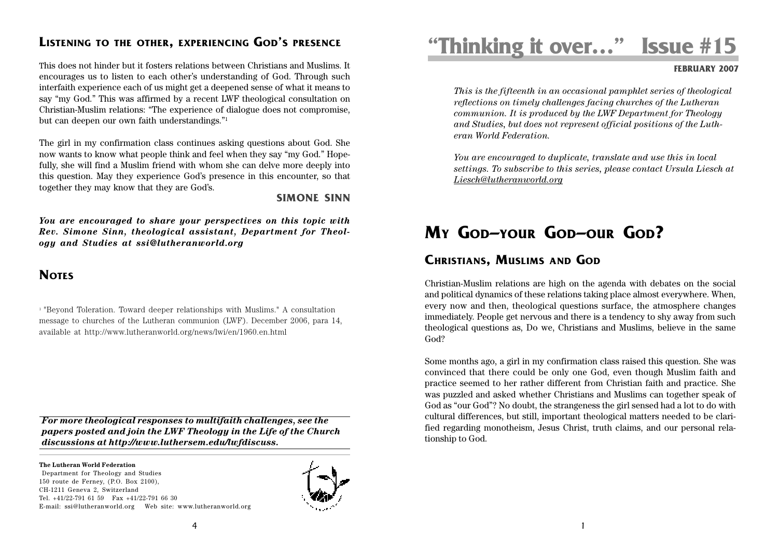### **LISTENING TO THE OTHER, EXPERIENCING GOD'S PRESENCE**

This does not hinder but it fosters relations between Christians and Muslims. It encourages us to listen to each other's understanding of God. Through such interfaith experience each of us might get a deepened sense of what it means to say "my God." This was affirmed by a recent LWF theological consultation on Christian-Muslim relations: "The experience of dialogue does not compromise, but can deepen our own faith understandings."1

The girl in my confirmation class continues asking questions about God. She now wants to know what people think and feel when they say "my God." Hopefully, she will find a Muslim friend with whom she can delve more deeply into this question. May they experience God's presence in this encounter, so that together they may know that they are God's.

**SIMONE SINN**

*You are encouraged to share your perspectives on this topic with Rev. Simone Sinn, theological assistant, Department for Theology and Studies at ssi@lutheranworld.org*

### **NOTES**

<sup>1</sup> "Beyond Toleration. Toward deeper relationships with Muslims." A consultation message to churches of the Lutheran communion (LWF). December 2006, para 14, available at http://www.lutheranworld.org/news/lwi/en/1960.en.html

*For more theological responses to multifaith challenges, see the papers posted and join the LWF Theology in the Life of the Church discussions at http://www.luthersem.edu/lwfdiscuss.*

**The Lutheran World Federation** Department for Theology and Studies 150 route de Ferney, (P.O. Box 2100), CH-1211 Geneva 2, Switzerland Tel. +41/22-791 61 59 Fax +41/22-791 66 30 E-mail: ssi@lutheranworld.org Web site: www.lutheranworld.org



# **"Thinking it over…" Issue #15**

#### **FEBRUARY 2007**

*This is the fifteenth in an occasional pamphlet series of theological reflections on timely challenges facing churches of the Lutheran communion. It is produced by the LWF Department for Theology and Studies, but does not represent official positions of the Lutheran World Federation.*

*You are encouraged to duplicate, translate and use this in local settings. To subscribe to this series, please contact Ursula Liesch at Liesch@lutheranworld.org*

## **MY GOD–YOUR GOD–OUR GOD?**

### **CHRISTIANS, MUSLIMS AND GOD**

Christian-Muslim relations are high on the agenda with debates on the social and political dynamics of these relations taking place almost everywhere. When, every now and then, theological questions surface, the atmosphere changes immediately. People get nervous and there is a tendency to shy away from such theological questions as, Do we, Christians and Muslims, believe in the same God?

Some months ago, a girl in my confirmation class raised this question. She was convinced that there could be only one God, even though Muslim faith and practice seemed to her rather different from Christian faith and practice. She was puzzled and asked whether Christians and Muslims can together speak of God as "our God"? No doubt, the strangeness the girl sensed had a lot to do with cultural differences, but still, important theological matters needed to be clarified regarding monotheism, Jesus Christ, truth claims, and our personal relationship to God.